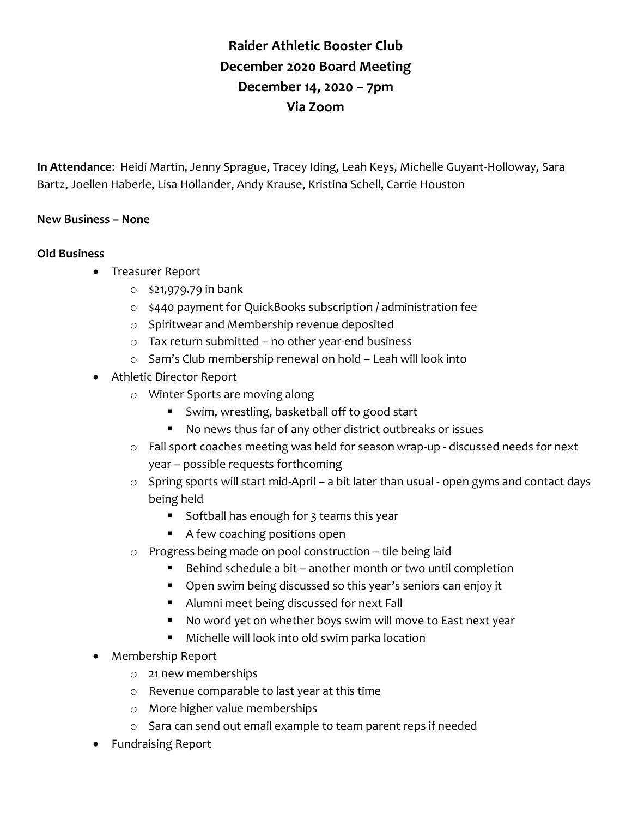## **Raider Athletic Booster Club December 2020 Board Meeting December 14, 2020 – 7pm Via Zoom**

**In Attendance**: Heidi Martin, Jenny Sprague, Tracey Iding, Leah Keys, Michelle Guyant-Holloway, Sara Bartz, Joellen Haberle, Lisa Hollander, Andy Krause, Kristina Schell, Carrie Houston

## **New Business – None**

## **Old Business**

- Treasurer Report
	- o \$21,979.79 in bank
	- o \$440 payment for QuickBooks subscription / administration fee
	- o Spiritwear and Membership revenue deposited
	- o Tax return submitted no other year-end business
	- o Sam's Club membership renewal on hold Leah will look into
- Athletic Director Report
	- o Winter Sports are moving along
		- Swim, wrestling, basketball off to good start
		- No news thus far of any other district outbreaks or issues
	- o Fall sport coaches meeting was held for season wrap-up discussed needs for next year – possible requests forthcoming
	- o Spring sports will start mid-April a bit later than usual open gyms and contact days being held
		- **Softball has enough for 3 teams this year**
		- A few coaching positions open
	- o Progress being made on pool construction tile being laid
		- Behind schedule a bit another month or two until completion
		- Open swim being discussed so this year's seniors can enjoy it
		- Alumni meet being discussed for next Fall
		- No word yet on whether boys swim will move to East next year
		- Michelle will look into old swim parka location
- Membership Report
	- o 21 new memberships
	- o Revenue comparable to last year at this time
	- o More higher value memberships
	- o Sara can send out email example to team parent reps if needed
- Fundraising Report